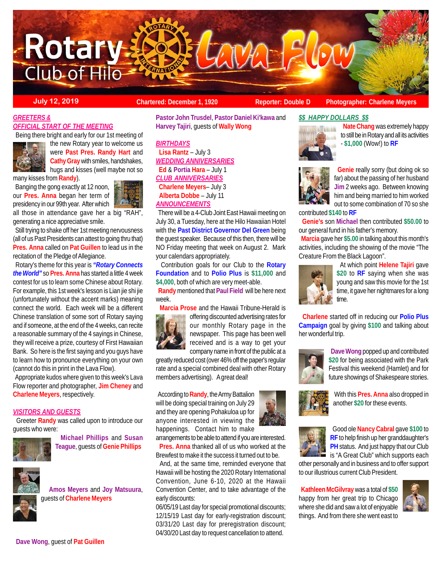

**July 12, 2019 Chartered: December 1, 1920** Reporter: Double D Photographer: Charlene Meyers<br>
Reporter: Double D Photographer: Charlene Meyers

# *GREETERS & OFFICIAL START OF THE MEETING*

Being there bright and early for our 1st meeting of



the new Rotary year to welcome us were **Past Pres. Randy Hart** and **Cathy Gray** with smiles, handshakes, hugs and kisses (well maybe not so

many kisses from **Randy**).

 Banging the gong exactly at 12 noon, our **Pres. Anna** began her term of presidency in our 99th year. After which

all those in attendance gave her a big "RAH", generating a nice appreciative smile.

 Still trying to shake off her 1st meeting nervousness (all of us Past Presidents can attest to going thru that) **Pres. Anna** called on **Pat Guillen** to lead us in the recitation of the Pledge of Allegiance.

 Rotary's theme for this year is *"Rotary Connects the World"* so **Pres. Anna** has started a little 4 week contest for us to learn some Chinese about Rotary. For example, this 1st week's lesson is Lian jie shi jie (unfortunately without the accent marks) meaning connect the world. Each week will be a different Chinese translation of some sort of Rotary saying and if someone, at the end of the 4 weeks, can recite a reasonable summary of the 4 sayings in Chinese, they will receive a prize, courtesy of First Hawaiian Bank. So here is the first saying and you guys have to learn how to pronounce everything on your own (cannot do this in print in the Lava Flow).

 Appropriate kudos where given to this week's Lava Flow reporter and photographer, **Jim Cheney** and **Charlene Meyers**, respectively.

## *VISITORS AND GUESTS*

 Greeter **Randy** was called upon to introduce our guests who were:



 **Michael Phillips** and **Susan Teague**, guests of **Genie Phillips**



 **Amos Meyers** and **Joy Matsuura**, guests of **Charlene Meyers**

**Dave Wong**, guest of **Pat Guillen**

**Pastor John Trusdel**, **Pastor Daniel Ki'kawa** and **Harvey Tajiri**, guests of **Wally Wong**

*BIRTHDAYS*  **Lisa Rantz** – July 3 *WEDDING ANNIVERSARIES*  **Ed** & **Portia Hara** – July 1 *CLUB ANNIVERSARIES* **Charlene Meyers**– July 3 **Alberta Dobbe** – July 11 *ANNOUNCEMENTS*

 There will be a 4-Club Joint East Hawaii meeting on July 30, a Tuesday, here at the Hilo Hawaiian Hotel with the **Past District Governor Del Green** being the guest speaker. Because of this then, there will be NO Friday meeting that week on August 2. Mark your calendars appropriately.

 Contribution goals for our Club to the **Rotary Foundation** and to **Polio Plus** is **\$11,000** and **\$4,000**, both of which are very meet-able.

 **Randy** mentioned that **Paul Field** will be here next week.

**Marcia Prose** and the Hawaii Tribune-Herald is



offering discounted advertising rates for our monthly Rotary page in the newspaper. This page has been well received and is a way to get your company name in front of the public at a

greatly reduced cost (over 46% off the paper's regular rate and a special combined deal with other Rotary members advertising). A great deal!

 According to **Randy**, the Army Battalion will be doing special training on July 29 and they are opening Pohakuloa up for anyone interested in viewing the happenings. Contact him to make

arrangements to be able to attend if you are interested. **Pres. Anna** thanked all of us who worked at the Brewfest to make it the success it turned out to be.

 And, at the same time, reminded everyone that Hawaii will be hosting the 2020 Rotary International Convention, June 6-10, 2020 at the Hawaii Convention Center, and to take advantage of the early discounts:

06/05/19 Last day for special promotional discounts; 12/15/19 Last day for early-registration discount; 03/31/20 Last day for preregistration discount; 04/30/20 Last day to request cancellation to attend.



 **Dave Wong** popped up and contributed **\$20** for being associated with the Park Festival this weekend (Hamlet) and for future showings of Shakespeare stories.



 With this **Pres. Anna** also dropped in another **\$20** for these events.



 Good ole **Nancy Cabral** gave **\$100** to **RF** to help finish up her granddaughter's **PH** status. And just happy that our Club is "A Great Club" which supports each

other personally and in business and to offer support to our illustrious current Club President.

 **Kathleen McGilvray** was a total of **\$50** happy from her great trip to Chicago where she did and saw a lot of enjoyable things. And from there she went east to





- **\$1,000** (Wow!) to **RF**

 **Nate Chang** was extremely happy to still be in Rotary and all its activities

 **Genie** really sorry (but doing ok so far) about the passing of her husband **Jim** 2 weeks ago. Between knowing him and being married to him worked out to some combination of 70 so she

contributed **\$140** to **RF**

*\$\$ HAPPY DOLLARS \$\$*

 **Genie's** son **Michael** then contributed **\$50.00** to our general fund in his father's memory.

 **Marcia** gave her **\$5.00** in talking about this month's activities, including the showing of the movie "The Creature From the Black Lagoon".



 At which point **Helene Tajiri** gave **\$20** to **RF** saying when she was young and saw this movie for the 1st time, it gave her nightmares for a long time.

 **Charlene** started off in reducing our **Polio Plus Campaign** goal by giving **\$100** and talking about her wonderful trip.